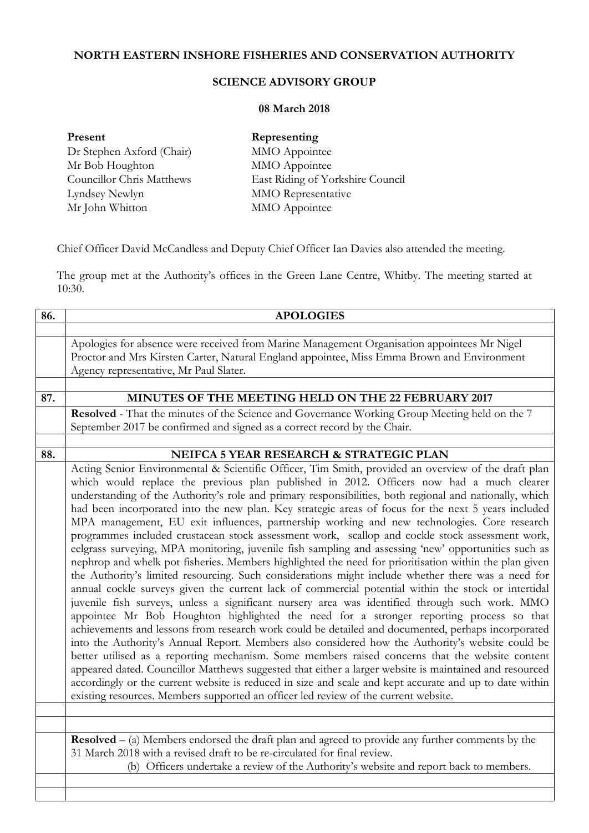## **NORTH EASTERN INSHORE FISHERIES AND CONSERVATION AUTHORITY**

## **SCIENCE ADVISORY GROUP**

## **08 March 2018**

| Present                          | Representing                     |
|----------------------------------|----------------------------------|
| Dr Stephen Axford (Chair)        | MMO Appointee                    |
| Mr Bob Houghton                  | MMO Appointee                    |
| <b>Councillor Chris Matthews</b> | East Riding of Yorkshire Council |
| Lyndsey Newlyn                   | MMO Representative               |
| Mr John Whitton                  | MMO Appointee                    |

Chief Officer David McCandless and Deputy Chief Officer Ian Davies also attended the meeting.

The group met at the Authority's offices in the Green Lane Centre, Whitby. The meeting started at  $10:30.$ 

| 86. | <b>APOLOGIES</b>                                                                                            |
|-----|-------------------------------------------------------------------------------------------------------------|
|     |                                                                                                             |
|     | Apologies for absence were received from Marine Management Organisation appointees Mr Nigel                 |
|     | Proctor and Mrs Kirsten Carter, Natural England appointee, Miss Emma Brown and Environment                  |
|     | Agency representative, Mr Paul Slater.                                                                      |
|     |                                                                                                             |
| 87. | <b>MINUTES OF THE MEETING HELD ON THE 22 FEBRUARY 2017</b>                                                  |
|     | Resolved - That the minutes of the Science and Governance Working Group Meeting held on the 7               |
|     | September 2017 be confirmed and signed as a correct record by the Chair.                                    |
|     |                                                                                                             |
| 88. | NEIFCA 5 YEAR RESEARCH & STRATEGIC PLAN                                                                     |
|     | Acting Senior Environmental & Scientific Officer, Tim Smith, provided an overview of the draft plan         |
|     | which would replace the previous plan published in 2012. Officers now had a much clearer                    |
|     | understanding of the Authority's role and primary responsibilities, both regional and nationally, which     |
|     | had been incorporated into the new plan. Key strategic areas of focus for the next 5 years included         |
|     | MPA management, EU exit influences, partnership working and new technologies. Core research                 |
|     | programmes included crustacean stock assessment work, scallop and cockle stock assessment work,             |
|     | eelgrass surveying, MPA monitoring, juvenile fish sampling and assessing 'new' opportunities such as        |
|     | nephrop and whelk pot fisheries. Members highlighted the need for prioritisation within the plan given      |
|     | the Authority's limited resourcing. Such considerations might include whether there was a need for          |
|     | annual cockle surveys given the current lack of commercial potential within the stock or intertidal         |
|     | juvenile fish surveys, unless a significant nursery area was identified through such work. MMO              |
|     | appointee Mr Bob Houghton highlighted the need for a stronger reporting process so that                     |
|     | achievements and lessons from research work could be detailed and documented, perhaps incorporated          |
|     | into the Authority's Annual Report. Members also considered how the Authority's website could be            |
|     | better utilised as a reporting mechanism. Some members raised concerns that the website content             |
|     | appeared dated. Councillor Matthews suggested that either a larger website is maintained and resourced      |
|     | accordingly or the current website is reduced in size and scale and kept accurate and up to date within     |
|     | existing resources. Members supported an officer led review of the current website.                         |
|     |                                                                                                             |
|     | $\textbf{Resolved} - (a)$ Members endorsed the draft plan and agreed to provide any further comments by the |
|     | 31 March 2018 with a revised draft to be re-circulated for final review.                                    |
|     | (b) Officers undertake a review of the Authority's website and report back to members.                      |
|     |                                                                                                             |
|     |                                                                                                             |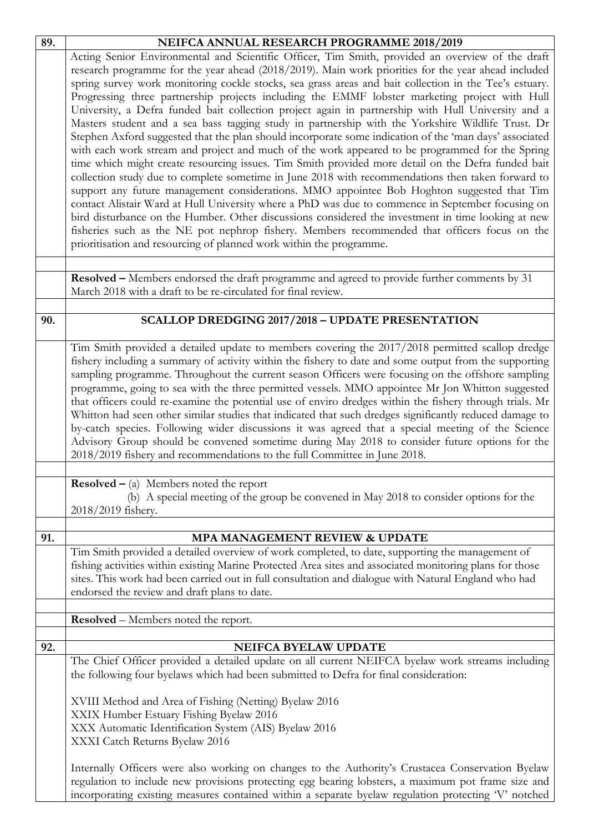| 89. | NEIFCA ANNUAL RESEARCH PROGRAMME 2018/2019                                                                                                                                                              |
|-----|---------------------------------------------------------------------------------------------------------------------------------------------------------------------------------------------------------|
|     | Acting Senior Environmental and Scientific Officer, Tim Smith, provided an overview of the draft                                                                                                        |
|     | research programme for the year ahead (2018/2019). Main work priorities for the year ahead included                                                                                                     |
|     | spring survey work monitoring cockle stocks, sea grass areas and bait collection in the Tee's estuary.                                                                                                  |
|     | Progressing three partnership projects including the EMMF lobster marketing project with Hull                                                                                                           |
|     | University, a Defra funded bait collection project again in partnership with Hull University and a                                                                                                      |
|     | Masters student and a sea bass tagging study in partnership with the Yorkshire Wildlife Trust. Dr                                                                                                       |
|     | Stephen Axford suggested that the plan should incorporate some indication of the 'man days' associated                                                                                                  |
|     | with each work stream and project and much of the work appeared to be programmed for the Spring                                                                                                         |
|     | time which might create resourcing issues. Tim Smith provided more detail on the Defra funded bait                                                                                                      |
|     | collection study due to complete sometime in June 2018 with recommendations then taken forward to                                                                                                       |
|     | support any future management considerations. MMO appointee Bob Hoghton suggested that Tim                                                                                                              |
|     | contact Alistair Ward at Hull University where a PhD was due to commence in September focusing on<br>bird disturbance on the Humber. Other discussions considered the investment in time looking at new |
|     | fisheries such as the NE pot nephrop fishery. Members recommended that officers focus on the                                                                                                            |
|     | prioritisation and resourcing of planned work within the programme.                                                                                                                                     |
|     |                                                                                                                                                                                                         |
|     |                                                                                                                                                                                                         |
|     | Resolved - Members endorsed the draft programme and agreed to provide further comments by 31                                                                                                            |
|     | March 2018 with a draft to be re-circulated for final review.                                                                                                                                           |
| 90. | SCALLOP DREDGING 2017/2018 - UPDATE PRESENTATION                                                                                                                                                        |
|     |                                                                                                                                                                                                         |
|     | Tim Smith provided a detailed update to members covering the 2017/2018 permitted scallop dredge                                                                                                         |
|     | fishery including a summary of activity within the fishery to date and some output from the supporting                                                                                                  |
|     | sampling programme. Throughout the current season Officers were focusing on the offshore sampling                                                                                                       |
|     | programme, going to sea with the three permitted vessels. MMO appointee Mr Jon Whitton suggested                                                                                                        |
|     | that officers could re-examine the potential use of enviro dredges within the fishery through trials. Mr                                                                                                |
|     | Whitton had seen other similar studies that indicated that such dredges significantly reduced damage to                                                                                                 |
|     | by-catch species. Following wider discussions it was agreed that a special meeting of the Science                                                                                                       |
|     | Advisory Group should be convened sometime during May 2018 to consider future options for the                                                                                                           |
|     | 2018/2019 fishery and recommendations to the full Committee in June 2018.                                                                                                                               |
|     | <b>Resolved</b> $-$ (a) Members noted the report                                                                                                                                                        |
|     | (b) A special meeting of the group be convened in May 2018 to consider options for the                                                                                                                  |
|     | 2018/2019 fishery.                                                                                                                                                                                      |
|     |                                                                                                                                                                                                         |
| 91. | MPA MANAGEMENT REVIEW & UPDATE                                                                                                                                                                          |
|     | Tim Smith provided a detailed overview of work completed, to date, supporting the management of                                                                                                         |
|     | fishing activities within existing Marine Protected Area sites and associated monitoring plans for those                                                                                                |
|     | sites. This work had been carried out in full consultation and dialogue with Natural England who had                                                                                                    |
|     | endorsed the review and draft plans to date.                                                                                                                                                            |
|     | <b>Resolved</b> – Members noted the report.                                                                                                                                                             |
|     |                                                                                                                                                                                                         |
| 92. | NEIFCA BYELAW UPDATE                                                                                                                                                                                    |
|     | The Chief Officer provided a detailed update on all current NEIFCA byelaw work streams including                                                                                                        |
|     | the following four byelaws which had been submitted to Defra for final consideration:                                                                                                                   |
|     | XVIII Method and Area of Fishing (Netting) Byelaw 2016                                                                                                                                                  |
|     | XXIX Humber Estuary Fishing Byelaw 2016                                                                                                                                                                 |
|     | XXX Automatic Identification System (AIS) Byelaw 2016                                                                                                                                                   |
|     | XXXI Catch Returns Byelaw 2016                                                                                                                                                                          |
|     |                                                                                                                                                                                                         |
|     | Internally Officers were also working on changes to the Authority's Crustacea Conservation Byelaw                                                                                                       |
|     | regulation to include new provisions protecting egg bearing lobsters, a maximum pot frame size and                                                                                                      |
|     | incorporating existing measures contained within a separate byelaw regulation protecting 'V' notched                                                                                                    |